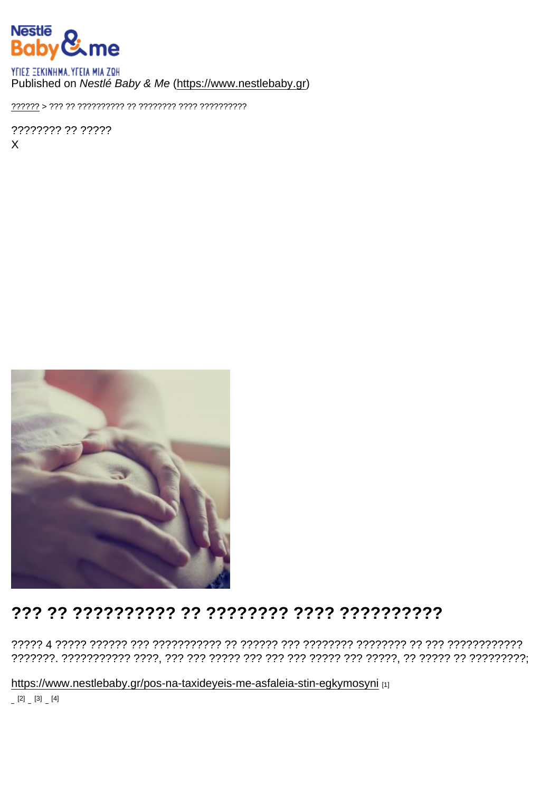#### Published on Nestlé Baby & Me (https://www.nestlebaby.gr)

???????? ?? ?????  $\mathsf{X}$ 

# 

https://www.nestlebaby.gr/pos-na-taxideyeis-me-asfaleia-stin-egkymosyni [1]  $[2] [3] [4]$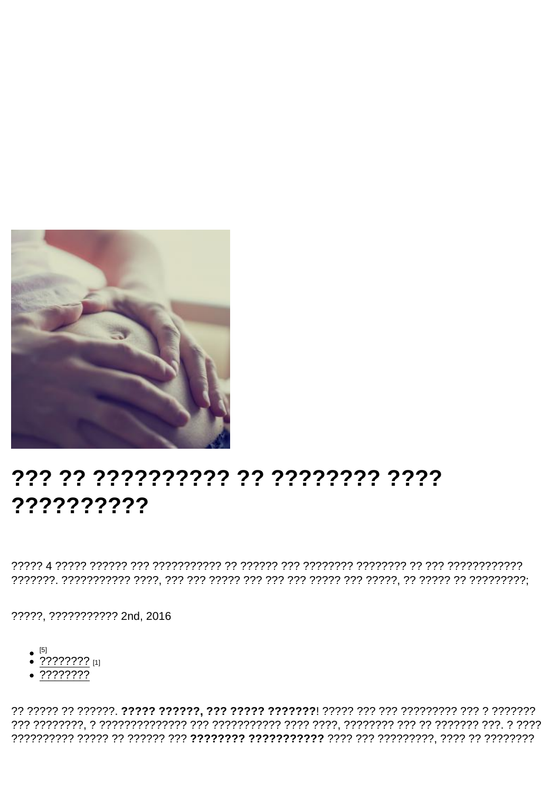# ??? ?? ?????????? ?? ???????? ???? ??????????

?????, ??????????? 2nd, 2016

- 
- $\frac{151}{222222222}$  [1]
- $.77777777$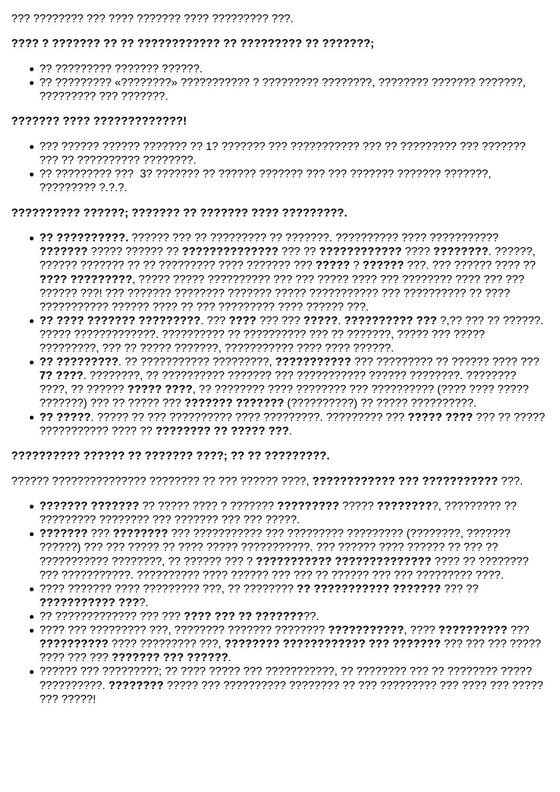## 

- 
- ????????? ??? ???????

#### 777777 7777 7777777777777

- 777 77 7777777777 77777777
- ????????? ?.?.?

#### 

- 
- 
- 
- 77777777777 7777 77 **77777777 77 77777 777**

# 

### 

- 
- 
- ??????????? ????
- 
- 7777 777 777 7777777 777 777777
- ??? ?????!